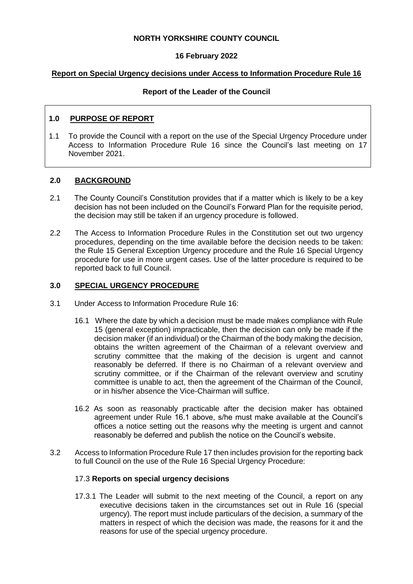### **NORTH YORKSHIRE COUNTY COUNCIL**

## **16 February 2022**

### **Report on Special Urgency decisions under Access to Information Procedure Rule 16**

## **Report of the Leader of the Council**

## **1.0 PURPOSE OF REPORT**

1.1 To provide the Council with a report on the use of the Special Urgency Procedure under Access to Information Procedure Rule 16 since the Council's last meeting on 17 November 2021.

## **2.0 BACKGROUND**

- 2.1 The County Council's Constitution provides that if a matter which is likely to be a key decision has not been included on the Council's Forward Plan for the requisite period, the decision may still be taken if an urgency procedure is followed.
- 2.2 The Access to Information Procedure Rules in the Constitution set out two urgency procedures, depending on the time available before the decision needs to be taken: the Rule 15 General Exception Urgency procedure and the Rule 16 Special Urgency procedure for use in more urgent cases. Use of the latter procedure is required to be reported back to full Council.

## **3.0 SPECIAL URGENCY PROCEDURE**

- 3.1 Under Access to Information Procedure Rule 16:
	- 16.1 Where the date by which a decision must be made makes compliance with Rule 15 (general exception) impracticable, then the decision can only be made if the decision maker (if an individual) or the Chairman of the body making the decision, obtains the written agreement of the Chairman of a relevant overview and scrutiny committee that the making of the decision is urgent and cannot reasonably be deferred. If there is no Chairman of a relevant overview and scrutiny committee, or if the Chairman of the relevant overview and scrutiny committee is unable to act, then the agreement of the Chairman of the Council, or in his/her absence the Vice-Chairman will suffice.
	- 16.2 As soon as reasonably practicable after the decision maker has obtained agreement under Rule 16.1 above, s/he must make available at the Council's offices a notice setting out the reasons why the meeting is urgent and cannot reasonably be deferred and publish the notice on the Council's website.
- 3.2 Access to Information Procedure Rule 17 then includes provision for the reporting back to full Council on the use of the Rule 16 Special Urgency Procedure:

#### 17.3 **Reports on special urgency decisions**

17.3.1 The Leader will submit to the next meeting of the Council, a report on any executive decisions taken in the circumstances set out in Rule 16 (special urgency). The report must include particulars of the decision, a summary of the matters in respect of which the decision was made, the reasons for it and the reasons for use of the special urgency procedure.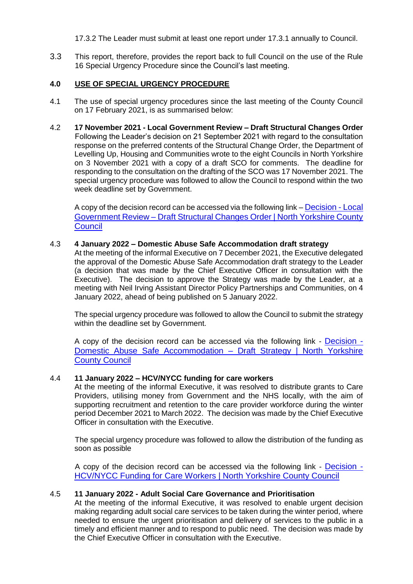17.3.2 The Leader must submit at least one report under 17.3.1 annually to Council.

3.3 This report, therefore, provides the report back to full Council on the use of the Rule 16 Special Urgency Procedure since the Council's last meeting.

## **4.0 USE OF SPECIAL URGENCY PROCEDURE**

- 4.1 The use of special urgency procedures since the last meeting of the County Council on 17 February 2021, is as summarised below:
- 4.2 **17 November 2021 - Local Government Review – Draft Structural Changes Order** Following the Leader's decision on 21 September 2021 with regard to the consultation response on the preferred contents of the Structural Change Order, the Department of Levelling Up, Housing and Communities wrote to the eight Councils in North Yorkshire on 3 November 2021 with a copy of a draft SCO for comments. The deadline for responding to the consultation on the drafting of the SCO was 17 November 2021. The special urgency procedure was followed to allow the Council to respond within the two week deadline set by Government.

A copy of the decision record can be accessed via the following link – [Decision -](https://edemocracy.northyorks.gov.uk/ieDecisionDetails.aspx?ID=1241) Local Government Review – [Draft Structural Changes Order | North Yorkshire County](https://edemocracy.northyorks.gov.uk/ieDecisionDetails.aspx?ID=1241)  **[Council](https://edemocracy.northyorks.gov.uk/ieDecisionDetails.aspx?ID=1241)** 

#### 4.3 **4 January 2022 – Domestic Abuse Safe Accommodation draft strategy**

At the meeting of the informal Executive on 7 December 2021, the Executive delegated the approval of the Domestic Abuse Safe Accommodation draft strategy to the Leader (a decision that was made by the Chief Executive Officer in consultation with the Executive). The decision to approve the Strategy was made by the Leader, at a meeting with Neil Irving Assistant Director Policy Partnerships and Communities, on 4 January 2022, ahead of being published on 5 January 2022.

The special urgency procedure was followed to allow the Council to submit the strategy within the deadline set by Government.

A copy of the decision record can be accessed via the following link - [Decision -](https://edemocracy.northyorks.gov.uk/ieDecisionDetails.aspx?ID=1370) [Domestic Abuse Safe Accommodation –](https://edemocracy.northyorks.gov.uk/ieDecisionDetails.aspx?ID=1370) Draft Strategy | North Yorkshire [County Council](https://edemocracy.northyorks.gov.uk/ieDecisionDetails.aspx?ID=1370)

#### 4.4 **11 January 2022 – HCV/NYCC funding for care workers**

At the meeting of the informal Executive, it was resolved to distribute grants to Care Providers, utilising money from Government and the NHS locally, with the aim of supporting recruitment and retention to the care provider workforce during the winter period December 2021 to March 2022. The decision was made by the Chief Executive Officer in consultation with the Executive.

The special urgency procedure was followed to allow the distribution of the funding as soon as possible

A copy of the decision record can be accessed via the following link - [Decision -](https://edemocracy.northyorks.gov.uk/ieDecisionDetails.aspx?ID=1403) [HCV/NYCC Funding for Care Workers | North Yorkshire County Council](https://edemocracy.northyorks.gov.uk/ieDecisionDetails.aspx?ID=1403)

#### 4.5 **11 January 2022 - Adult Social Care Governance and Prioritisation**

At the meeting of the informal Executive, it was resolved to enable urgent decision making regarding adult social care services to be taken during the winter period, where needed to ensure the urgent prioritisation and delivery of services to the public in a timely and efficient manner and to respond to public need. The decision was made by the Chief Executive Officer in consultation with the Executive.